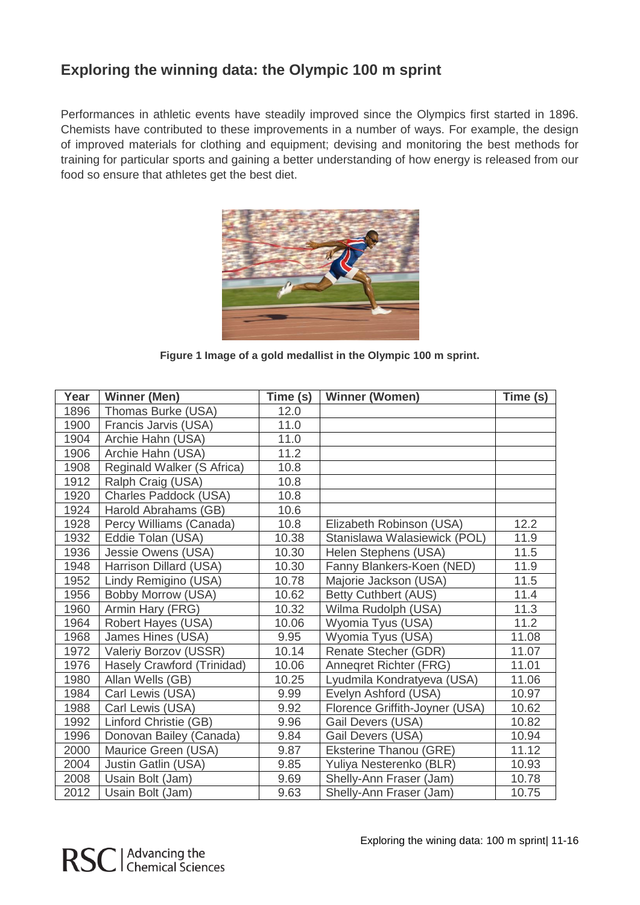## **Exploring the winning data: the Olympic 100 m sprint**

Performances in athletic events have steadily improved since the Olympics first started in 1896. Chemists have contributed to these improvements in a number of ways. For example, the design of improved materials for clothing and equipment; devising and monitoring the best methods for training for particular sports and gaining a better understanding of how energy is released from our food so ensure that athletes get the best diet.



**Figure 1 Image of a gold medallist in the Olympic 100 m sprint.**

| Year | <b>Winner (Men)</b>        | Time (s) | <b>Winner (Women)</b>          | Time (s) |
|------|----------------------------|----------|--------------------------------|----------|
| 1896 | Thomas Burke (USA)         | 12.0     |                                |          |
| 1900 | Francis Jarvis (USA)       | 11.0     |                                |          |
| 1904 | Archie Hahn (USA)          | 11.0     |                                |          |
| 1906 | Archie Hahn (USA)          | 11.2     |                                |          |
| 1908 | Reginald Walker (S Africa) | 10.8     |                                |          |
| 1912 | Ralph Craig (USA)          | 10.8     |                                |          |
| 1920 | Charles Paddock (USA)      | 10.8     |                                |          |
| 1924 | Harold Abrahams (GB)       | 10.6     |                                |          |
| 1928 | Percy Williams (Canada)    | 10.8     | Elizabeth Robinson (USA)       | 12.2     |
| 1932 | Eddie Tolan (USA)          | 10.38    | Stanislawa Walasiewick (POL)   | 11.9     |
| 1936 | Jessie Owens (USA)         | 10.30    | Helen Stephens (USA)           | 11.5     |
| 1948 | Harrison Dillard (USA)     | 10.30    | Fanny Blankers-Koen (NED)      | 11.9     |
| 1952 | Lindy Remigino (USA)       | 10.78    | Majorie Jackson (USA)          | 11.5     |
| 1956 | <b>Bobby Morrow (USA)</b>  | 10.62    | <b>Betty Cuthbert (AUS)</b>    | 11.4     |
| 1960 | Armin Hary (FRG)           | 10.32    | Wilma Rudolph (USA)            | 11.3     |
| 1964 | Robert Hayes (USA)         | 10.06    | Wyomia Tyus (USA)              | 11.2     |
| 1968 | James Hines (USA)          | 9.95     | Wyomia Tyus (USA)              | 11.08    |
| 1972 | Valeriy Borzov (USSR)      | 10.14    | Renate Stecher (GDR)           | 11.07    |
| 1976 | Hasely Crawford (Trinidad) | 10.06    | Anneqret Richter (FRG)         | 11.01    |
| 1980 | Allan Wells (GB)           | 10.25    | Lyudmila Kondratyeva (USA)     | 11.06    |
| 1984 | Carl Lewis (USA)           | 9.99     | Evelyn Ashford (USA)           | 10.97    |
| 1988 | Carl Lewis (USA)           | 9.92     | Florence Griffith-Joyner (USA) | 10.62    |
| 1992 | Linford Christie (GB)      | 9.96     | Gail Devers (USA)              | 10.82    |
| 1996 | Donovan Bailey (Canada)    | 9.84     | Gail Devers (USA)              | 10.94    |
| 2000 | Maurice Green (USA)        | 9.87     | Eksterine Thanou (GRE)         | 11.12    |
| 2004 | Justin Gatlin (USA)        | 9.85     | Yuliya Nesterenko (BLR)        | 10.93    |
| 2008 | Usain Bolt (Jam)           | 9.69     | Shelly-Ann Fraser (Jam)        | 10.78    |
| 2012 | Usain Bolt (Jam)           | 9.63     | Shelly-Ann Fraser (Jam)        | 10.75    |